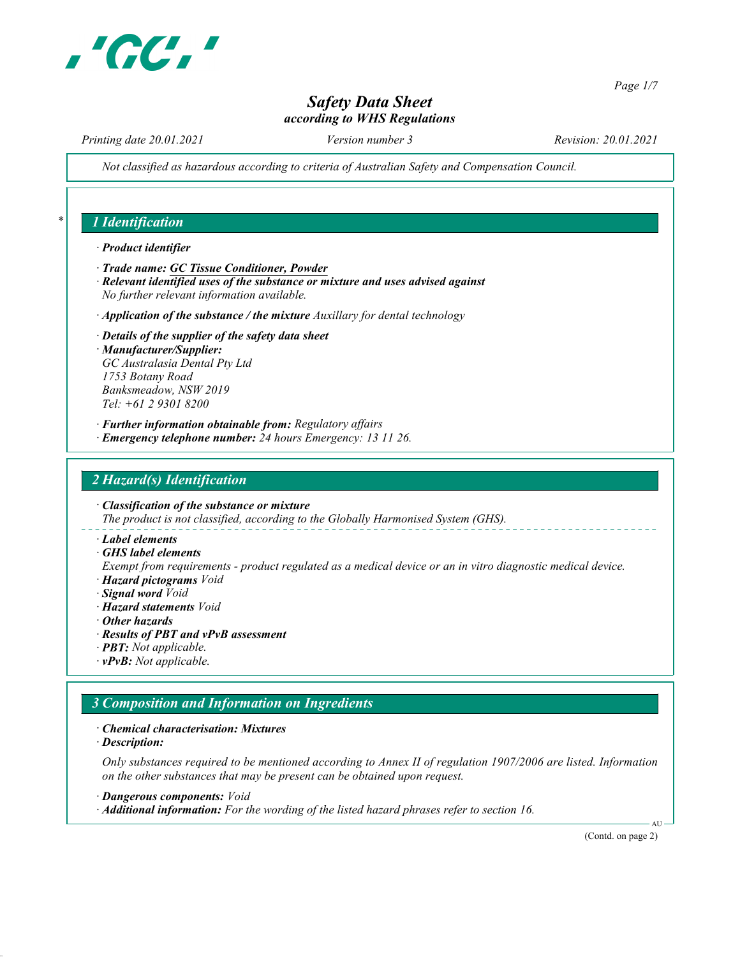

Page 1/7

# Safety Data Sheet according to WHS Regulations

Printing date 20.01.2021 Version number 3 Revision: 20.01.2021

Not classified as hazardous according to criteria of Australian Safety and Compensation Council.

#### 1 Identification

- · Product identifier
- · Trade name: GC Tissue Conditioner, Powder
- · Relevant identified uses of the substance or mixture and uses advised against No further relevant information available.
- $\cdot$  Application of the substance / the mixture Auxillary for dental technology
- · Details of the supplier of the safety data sheet · Manufacturer/Supplier: GC Australasia Dental Pty Ltd 1753 Botany Road Banksmeadow, NSW 2019 Tel: +61 2 9301 8200
- · Further information obtainable from: Regulatory affairs
- · Emergency telephone number: 24 hours Emergency: 13 11 26.

#### 2 Hazard(s) Identification

· Classification of the substance or mixture The product is not classified, according to the Globally Harmonised System (GHS).

- · Label elements
- · GHS label elements

Exempt from requirements - product regulated as a medical device or an in vitro diagnostic medical device. · Hazard pictograms Void

- · Signal word Void
- · Hazard statements Void
- · Other hazards
- · Results of PBT and vPvB assessment
- · PBT: Not applicable.
- · vPvB: Not applicable.

#### 3 Composition and Information on Ingredients

- · Chemical characterisation: Mixtures
- · Description:

Only substances required to be mentioned according to Annex II of regulation 1907/2006 are listed. Information on the other substances that may be present can be obtained upon request.

· Dangerous components: Void

· Additional information: For the wording of the listed hazard phrases refer to section 16.

(Contd. on page 2)

AU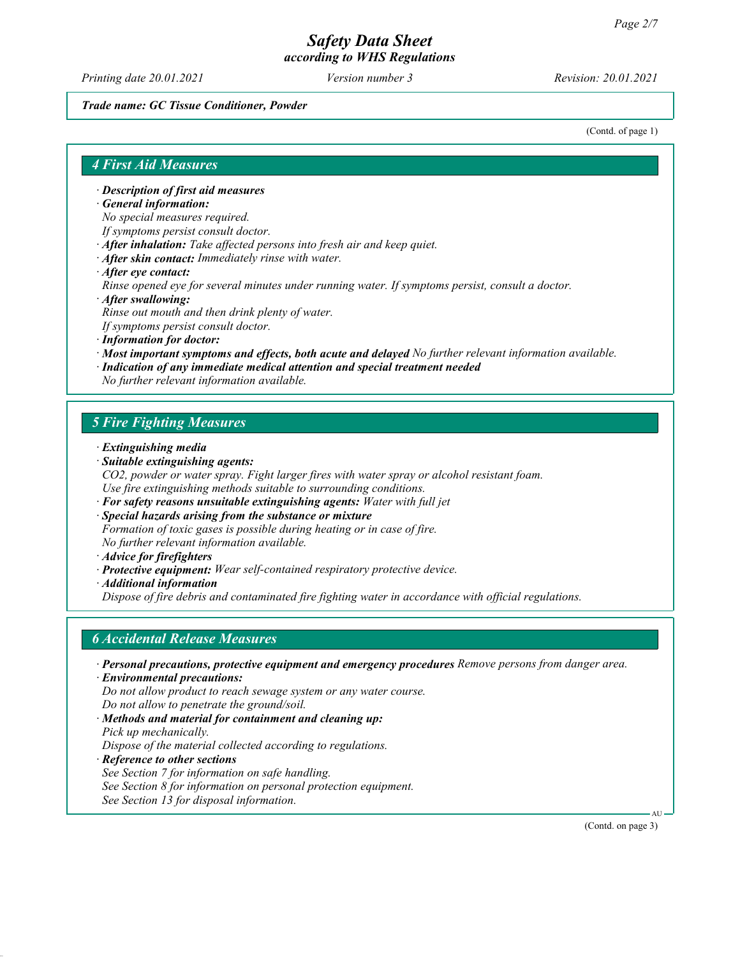Printing date 20.01.2021 **Version number 3** Revision: 20.01.2021

#### Trade name: GC Tissue Conditioner, Powder

(Contd. of page 1)

#### 4 First Aid Measures

· Description of first aid measures

· General information:

No special measures required.

- If symptoms persist consult doctor.
- · After inhalation: Take affected persons into fresh air and keep quiet.
- · After skin contact: Immediately rinse with water.
- · After eye contact:

Rinse opened eye for several minutes under running water. If symptoms persist, consult a doctor.

- · After swallowing: Rinse out mouth and then drink plenty of water. If symptoms persist consult doctor.
	- · Information for doctor:
	- · Most important symptoms and effects, both acute and delayed No further relevant information available.
	- · Indication of any immediate medical attention and special treatment needed

No further relevant information available.

#### 5 Fire Fighting Measures

- · Extinguishing media
- · Suitable extinguishing agents:
- CO2, powder or water spray. Fight larger fires with water spray or alcohol resistant foam. Use fire extinguishing methods suitable to surrounding conditions.
- · For safety reasons unsuitable extinguishing agents: Water with full jet
- · Special hazards arising from the substance or mixture Formation of toxic gases is possible during heating or in case of fire. No further relevant information available.
- · Advice for firefighters
- · Protective equipment: Wear self-contained respiratory protective device.
- · Additional information

Dispose of fire debris and contaminated fire fighting water in accordance with official regulations.

#### 6 Accidental Release Measures

- · Personal precautions, protective equipment and emergency procedures Remove persons from danger area.
- · Environmental precautions: Do not allow product to reach sewage system or any water course. Do not allow to penetrate the ground/soil.
- · Methods and material for containment and cleaning up: Pick up mechanically.

Dispose of the material collected according to regulations.

- · Reference to other sections
- See Section 7 for information on safe handling.
- See Section 8 for information on personal protection equipment.
- See Section 13 for disposal information.

(Contd. on page 3)

AU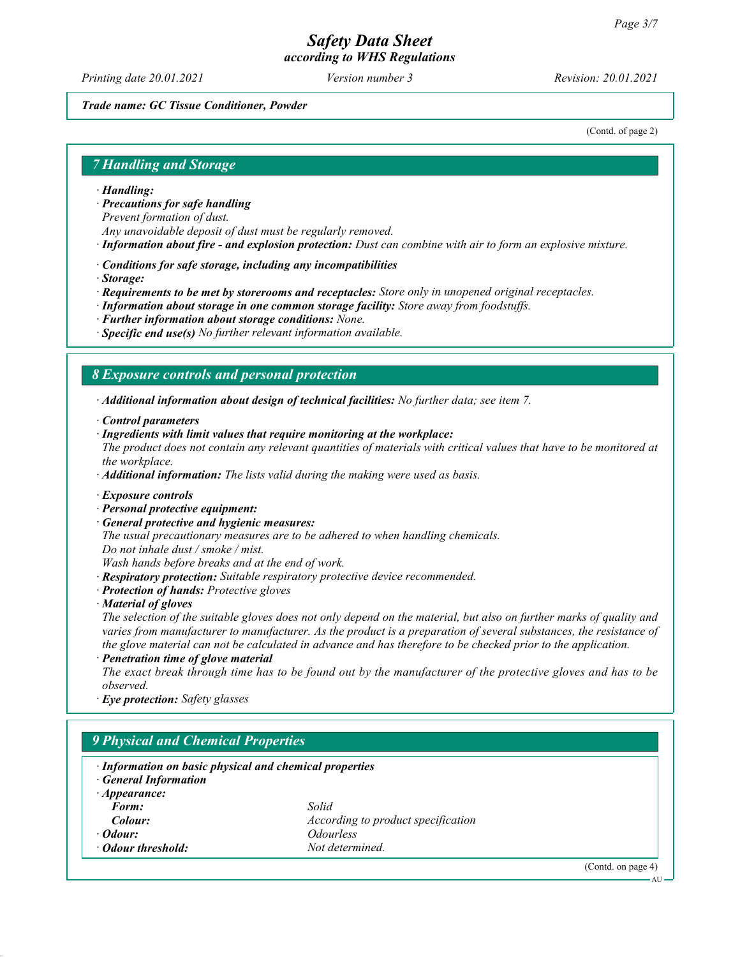Printing date 20.01.2021 **Version number 3** Revision: 20.01.2021

#### Trade name: GC Tissue Conditioner, Powder

(Contd. of page 2)

#### 7 Handling and Storage

#### · Handling:

· Precautions for safe handling

Prevent formation of dust.

- Any unavoidable deposit of dust must be regularly removed.
- · Information about fire and explosion protection: Dust can combine with air to form an explosive mixture.
- · Conditions for safe storage, including any incompatibilities
- · Storage:
- · Requirements to be met by storerooms and receptacles: Store only in unopened original receptacles.
- · Information about storage in one common storage facility: Store away from foodstuffs.
- · Further information about storage conditions: None.
- $\cdot$  Specific end use(s) No further relevant information available.

#### 8 Exposure controls and personal protection

· Additional information about design of technical facilities: No further data; see item 7.

- · Control parameters
- · Ingredients with limit values that require monitoring at the workplace:
- The product does not contain any relevant quantities of materials with critical values that have to be monitored at the workplace.

 $\cdot$  **Additional information:** The lists valid during the making were used as basis.

- · Exposure controls
- · Personal protective equipment:
- · General protective and hygienic measures:

The usual precautionary measures are to be adhered to when handling chemicals.

Do not inhale dust / smoke / mist.

Wash hands before breaks and at the end of work.

- · Respiratory protection: Suitable respiratory protective device recommended.
- · Protection of hands: Protective gloves
- · Material of gloves

The selection of the suitable gloves does not only depend on the material, but also on further marks of quality and varies from manufacturer to manufacturer. As the product is a preparation of several substances, the resistance of the glove material can not be calculated in advance and has therefore to be checked prior to the application.

· Penetration time of glove material

The exact break through time has to be found out by the manufacturer of the protective gloves and has to be observed.

· Eye protection: Safety glasses

#### 9 Physical and Chemical Properties

· Information on basic physical and chemical properties · General Information · Appearance: Form: Solid **Colour:** According to product specification · Odour: Odourless **Odour threshold:** Not determined.

(Contd. on page 4)

AU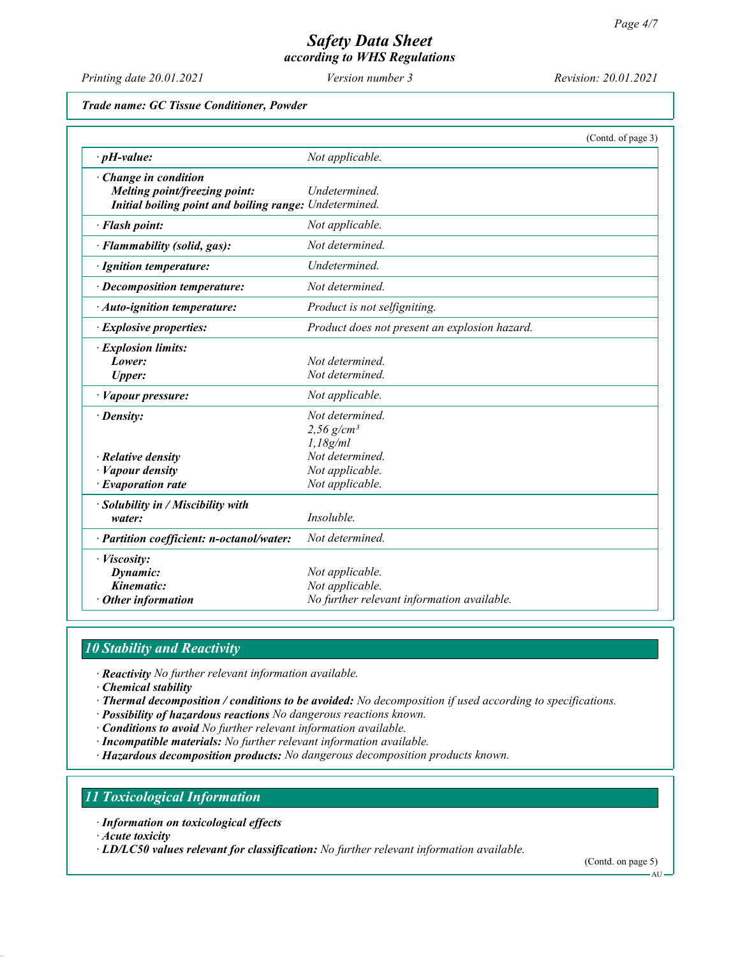Printing date 20.01.2021 Version number 3 Revision: 20.01.2021

Trade name: GC Tissue Conditioner, Powder

|                                                                                                                |                                                                                  | (Contd. of page 3) |
|----------------------------------------------------------------------------------------------------------------|----------------------------------------------------------------------------------|--------------------|
| $\cdot$ pH-value:                                                                                              | Not applicable.                                                                  |                    |
| Change in condition<br>Melting point/freezing point:<br>Initial boiling point and boiling range: Undetermined. | Undetermined.                                                                    |                    |
| · Flash point:                                                                                                 | Not applicable.                                                                  |                    |
| · Flammability (solid, gas):                                                                                   | Not determined.                                                                  |                    |
| · Ignition temperature:                                                                                        | Undetermined.                                                                    |                    |
| · Decomposition temperature:                                                                                   | Not determined.                                                                  |                    |
| · Auto-ignition temperature:                                                                                   | Product is not selfigniting.                                                     |                    |
| · Explosive properties:                                                                                        | Product does not present an explosion hazard.                                    |                    |
| <i>Explosion limits:</i><br>Lower:<br><b>Upper:</b>                                                            | Not determined.<br>Not determined.                                               |                    |
| · Vapour pressure:                                                                                             | Not applicable.                                                                  |                    |
| $\cdot$ Density:                                                                                               | Not determined.<br>2,56 $g/cm^{3}$<br>1,18g/ml                                   |                    |
| $\cdot$ Relative density<br>· Vapour density                                                                   | Not determined.<br>Not applicable.                                               |                    |
| $\cdot$ Evaporation rate                                                                                       | Not applicable.                                                                  |                    |
| $\cdot$ Solubility in / Miscibility with<br>water:                                                             | Insoluble.                                                                       |                    |
| · Partition coefficient: n-octanol/water:                                                                      | Not determined.                                                                  |                    |
| · Viscosity:<br>Dynamic:<br>Kinematic:<br>$\cdot$ Other information                                            | Not applicable.<br>Not applicable.<br>No further relevant information available. |                    |

# 10 Stability and Reactivity

· Reactivity No further relevant information available.

- · Chemical stability
- · Thermal decomposition / conditions to be avoided: No decomposition if used according to specifications.
- · Possibility of hazardous reactions No dangerous reactions known.
- · Conditions to avoid No further relevant information available.
- · Incompatible materials: No further relevant information available.
- · Hazardous decomposition products: No dangerous decomposition products known.

# 11 Toxicological Information

· Information on toxicological effects

· Acute toxicity

· LD/LC50 values relevant for classification: No further relevant information available.

(Contd. on page 5)

AU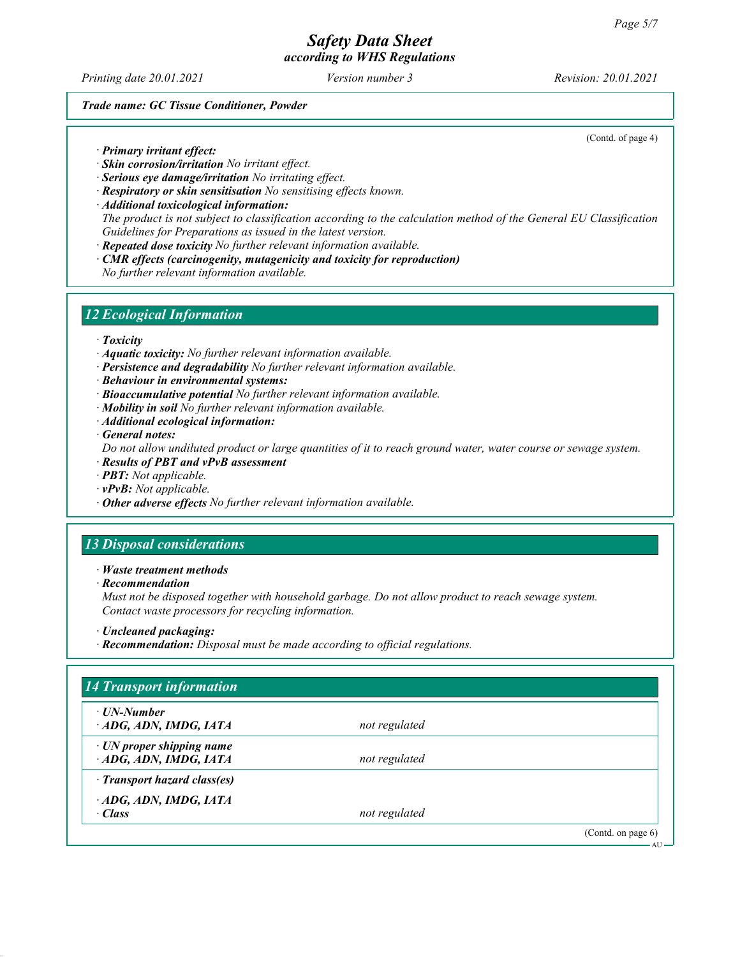Printing date 20.01.2021 **Version number 3** Revision: 20.01.2021

(Contd. of page 4)

#### Trade name: GC Tissue Conditioner, Powder

· Primary irritant effect:

- · Skin corrosion/irritation No irritant effect.
- · Serious eye damage/irritation No irritating effect.
- · Respiratory or skin sensitisation No sensitising effects known.
- · Additional toxicological information: The product is not subject to classification according to the calculation method of the General EU Classification Guidelines for Preparations as issued in the latest version.
- · Repeated dose toxicity No further relevant information available.
- · CMR effects (carcinogenity, mutagenicity and toxicity for reproduction)

No further relevant information available.

#### 12 Ecological Information

· Toxicity

- · Aquatic toxicity: No further relevant information available.
- · Persistence and degradability No further relevant information available.
- · Behaviour in environmental systems:
- · Bioaccumulative potential No further relevant information available.
- · Mobility in soil No further relevant information available.
- · Additional ecological information:
- · General notes:

Do not allow undiluted product or large quantities of it to reach ground water, water course or sewage system.

- · Results of PBT and vPvB assessment
- · PBT: Not applicable.
- · vPvB: Not applicable.
- · Other adverse effects No further relevant information available.

#### 13 Disposal considerations

#### · Waste treatment methods

· Recommendation

Must not be disposed together with household garbage. Do not allow product to reach sewage system. Contact waste processors for recycling information.

- · Uncleaned packaging:
- · Recommendation: Disposal must be made according to official regulations.

| · UN-Number                     |               |  |
|---------------------------------|---------------|--|
| ADG, ADN, IMDG, IATA            | not regulated |  |
| $\cdot$ UN proper shipping name |               |  |
| ADG, ADN, IMDG, IATA            | not regulated |  |
| Transport hazard class(es)      |               |  |
| ADG, ADN, IMDG, IATA            |               |  |
| $\cdot$ Class                   | not regulated |  |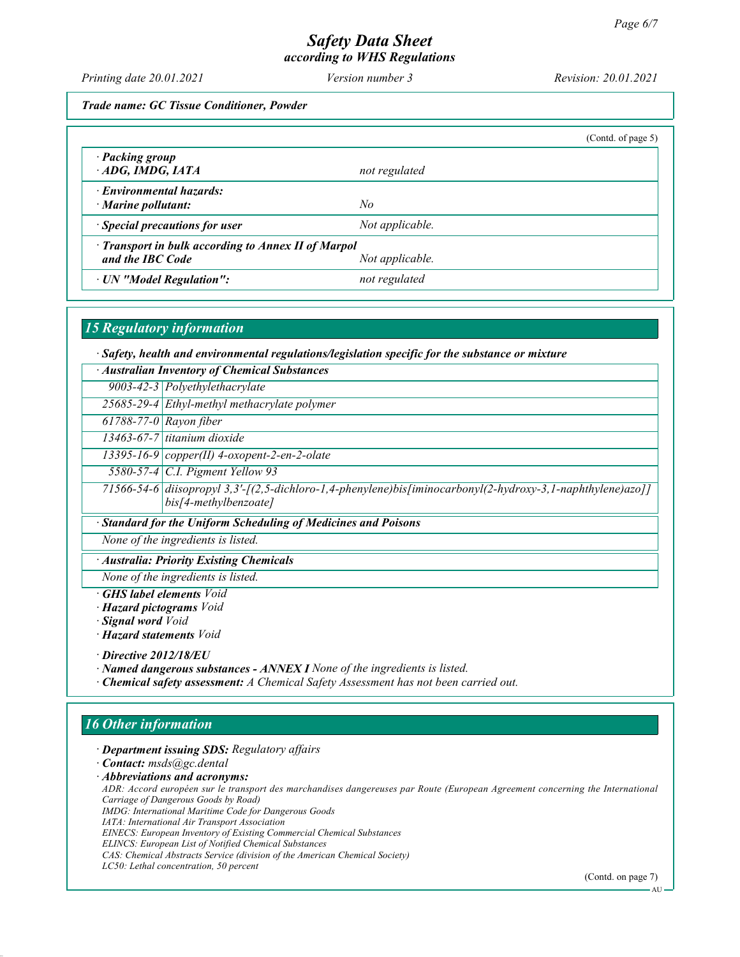# Safety Data Sheet

according to WHS Regulations

Printing date 20.01.2021 Version number 3 Revision: 20.01.2021

Trade name: GC Tissue Conditioner, Powder

|                                                                         |                 | (Contd. of page 5) |
|-------------------------------------------------------------------------|-----------------|--------------------|
| · Packing group<br>$\cdot$ ADG, IMDG, IATA                              | not regulated   |                    |
| · Environmental hazards:<br>$\cdot$ Marine pollutant:                   | No              |                    |
| · Special precautions for user                                          | Not applicable. |                    |
| · Transport in bulk according to Annex II of Marpol<br>and the IBC Code | Not applicable. |                    |
| · UN "Model Regulation":                                                | not regulated   |                    |

# 15 Regulatory information

· Safety, health and environmental regulations/legislation specific for the substance or mixture

| Australian Inventory of Chemical Substances                    |                                                                                                                                     |  |  |
|----------------------------------------------------------------|-------------------------------------------------------------------------------------------------------------------------------------|--|--|
|                                                                | 9003-42-3 $Polyethylethacrylate$                                                                                                    |  |  |
|                                                                | 25685-29-4 Ethyl-methyl methacrylate polymer                                                                                        |  |  |
| $\overline{617}88-77-0$ Rayon fiber                            |                                                                                                                                     |  |  |
|                                                                | 13463-67-7 titanium dioxide                                                                                                         |  |  |
|                                                                | 13395-16-9 $\left  copper(II)$ 4-oxopent-2-en-2-olate                                                                               |  |  |
|                                                                | 5580-57-4   C.I. Pigment Yellow 93                                                                                                  |  |  |
|                                                                | 71566-54-6 diisopropyl 3,3'-[(2,5-dichloro-1,4-phenylene)bis[iminocarbonyl(2-hydroxy-3,1-naphthylene)azo]]<br>bis[4-methylbenzoate] |  |  |
| · Standard for the Uniform Scheduling of Medicines and Poisons |                                                                                                                                     |  |  |
| None of the ingredients is listed.                             |                                                                                                                                     |  |  |
| · Australia: Priority Existing Chemicals                       |                                                                                                                                     |  |  |
| None of the ingredients is listed.                             |                                                                                                                                     |  |  |
|                                                                | $CHQ$ label elements $Val$                                                                                                          |  |  |

**GHS label elements** Void · Hazard pictograms Void

· Signal word Void

· Hazard statements Void

· Directive 2012/18/EU

· Named dangerous substances - ANNEX I None of the ingredients is listed. · Chemical safety assessment: A Chemical Safety Assessment has not been carried out.

# 16 Other information

· Department issuing SDS: Regulatory affairs

· Contact: msds@gc.dental

· Abbreviations and acronyms:

ADR: Accord européen sur le transport des marchandises dangereuses par Route (European Agreement concerning the International Carriage of Dangerous Goods by Road)

IMDG: International Maritime Code for Dangerous Goods

IATA: International Air Transport Association

EINECS: European Inventory of Existing Commercial Chemical Substances

ELINCS: European List of Notified Chemical Substances

CAS: Chemical Abstracts Service (division of the American Chemical Society) LC50: Lethal concentration, 50 percent

(Contd. on page 7)

A<sub>I</sub>